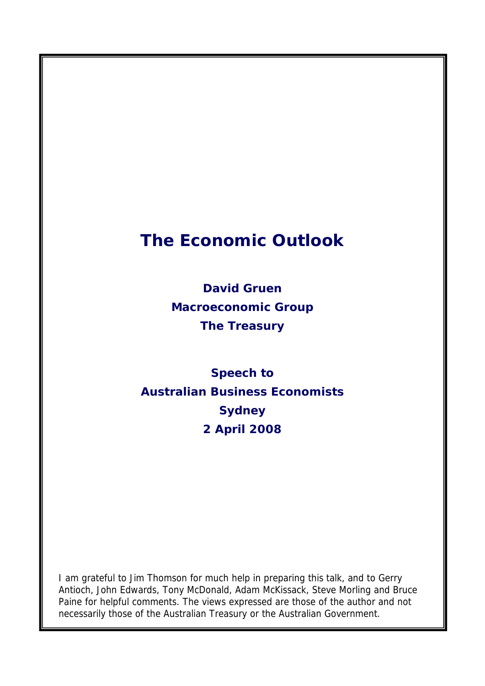# **The Economic Outlook**

**David Gruen Macroeconomic Group The Treasury** 

**Speech to Australian Business Economists Sydney 2 April 2008** 

I am grateful to Jim Thomson for much help in preparing this talk, and to Gerry Antioch, John Edwards, Tony McDonald, Adam McKissack, Steve Morling and Bruce Paine for helpful comments. The views expressed are those of the author and not necessarily those of the Australian Treasury or the Australian Government.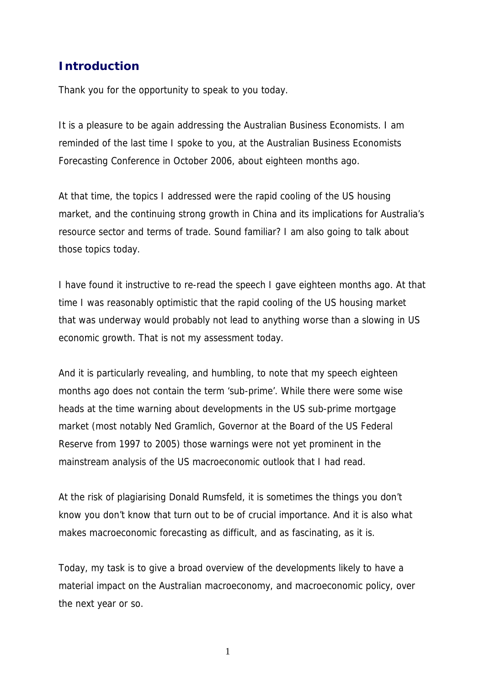# **Introduction**

Thank you for the opportunity to speak to you today.

It is a pleasure to be again addressing the Australian Business Economists. I am reminded of the last time I spoke to you, at the Australian Business Economists Forecasting Conference in October 2006, about eighteen months ago.

At that time, the topics I addressed were the rapid cooling of the US housing market, and the continuing strong growth in China and its implications for Australia's resource sector and terms of trade. Sound familiar? I am also going to talk about those topics today.

I have found it instructive to re-read the speech I gave eighteen months ago. At that time I was reasonably optimistic that the rapid cooling of the US housing market that was underway would probably not lead to anything worse than a slowing in US economic growth. That is not my assessment today.

And it is particularly revealing, and humbling, to note that my speech eighteen months ago does not contain the term 'sub-prime'. While there were some wise heads at the time warning about developments in the US sub-prime mortgage market (most notably Ned Gramlich, Governor at the Board of the US Federal Reserve from 1997 to 2005) those warnings were not yet prominent in the mainstream analysis of the US macroeconomic outlook that I had read.

At the risk of plagiarising Donald Rumsfeld, it is sometimes the things you don't know you don't know that turn out to be of crucial importance. And it is also what makes macroeconomic forecasting as difficult, and as fascinating, as it is.

Today, my task is to give a broad overview of the developments likely to have a material impact on the Australian macroeconomy, and macroeconomic policy, over the next year or so.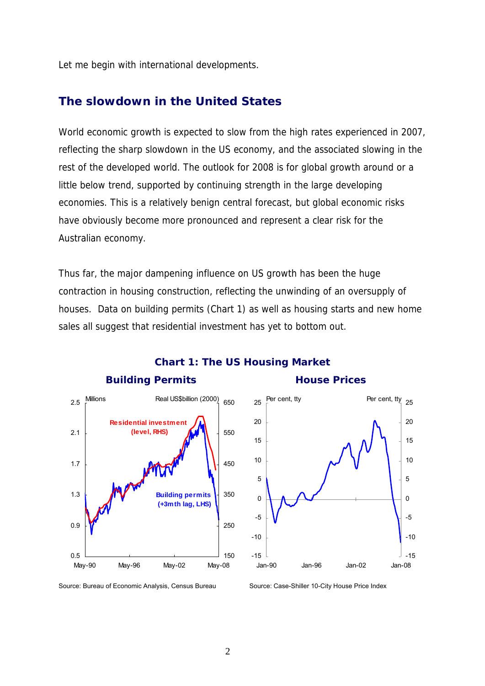Let me begin with international developments.

### **The slowdown in the United States**

World economic growth is expected to slow from the high rates experienced in 2007, reflecting the sharp slowdown in the US economy, and the associated slowing in the rest of the developed world. The outlook for 2008 is for global growth around or a little below trend, supported by continuing strength in the large developing economies. This is a relatively benign central forecast, but global economic risks have obviously become more pronounced and represent a clear risk for the Australian economy.

Thus far, the major dampening influence on US growth has been the huge contraction in housing construction, reflecting the unwinding of an oversupply of houses. Data on building permits (Chart 1) as well as housing starts and new home sales all suggest that residential investment has yet to bottom out.



## **Chart 1: The US Housing Market**

#### **Building Permits The Construction House Prices**



Source: Bureau of Economic Analysis, Census Bureau Source: Case-Shiller 10-City House Price Index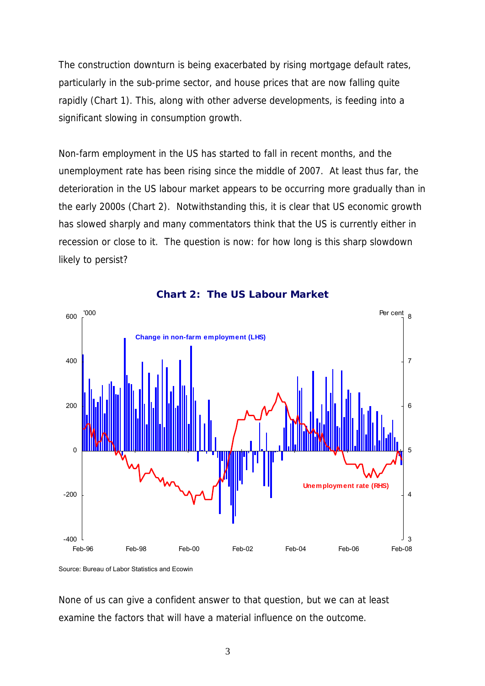The construction downturn is being exacerbated by rising mortgage default rates, particularly in the sub-prime sector, and house prices that are now falling quite rapidly (Chart 1). This, along with other adverse developments, is feeding into a significant slowing in consumption growth.

Non-farm employment in the US has started to fall in recent months, and the unemployment rate has been rising since the middle of 2007. At least thus far, the deterioration in the US labour market appears to be occurring more gradually than in the early 2000s (Chart 2). Notwithstanding this, it is clear that US economic growth has slowed sharply and many commentators think that the US is currently either in recession or close to it. The question is now: for how long is this sharp slowdown likely to persist?



#### **Chart 2: The US Labour Market**

None of us can give a confident answer to that question, but we can at least examine the factors that will have a material influence on the outcome.

Source: Bureau of Labor Statistics and Ecowin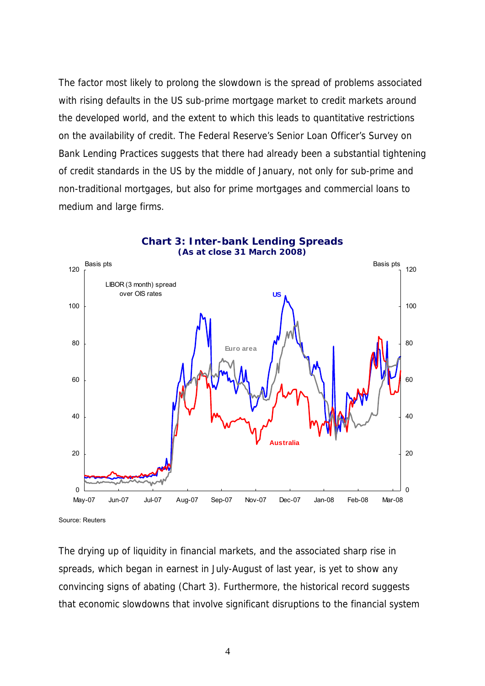The factor most likely to prolong the slowdown is the spread of problems associated with rising defaults in the US sub-prime mortgage market to credit markets around the developed world, and the extent to which this leads to quantitative restrictions on the availability of credit. The Federal Reserve's Senior Loan Officer's Survey on Bank Lending Practices suggests that there had already been a substantial tightening of credit standards in the US by the middle of January, not only for sub-prime and non-traditional mortgages, but also for prime mortgages and commercial loans to medium and large firms.



```
Source: Reuters
```
The drying up of liquidity in financial markets, and the associated sharp rise in spreads, which began in earnest in July-August of last year, is yet to show any convincing signs of abating (Chart 3). Furthermore, the historical record suggests that economic slowdowns that involve significant disruptions to the financial system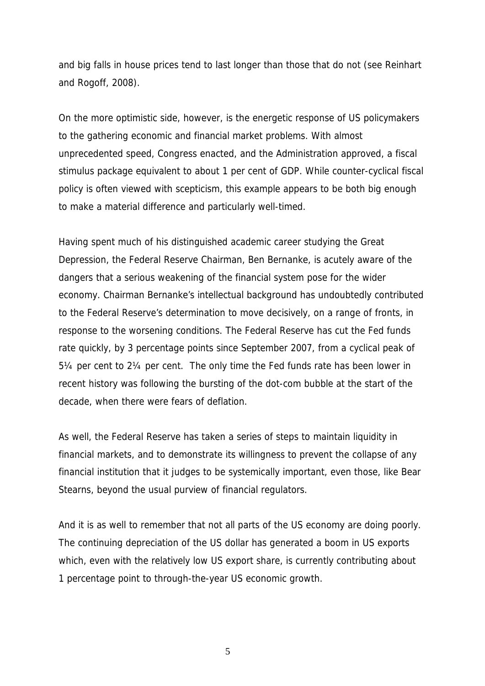and big falls in house prices tend to last longer than those that do not (see Reinhart and Rogoff, 2008).

On the more optimistic side, however, is the energetic response of US policymakers to the gathering economic and financial market problems. With almost unprecedented speed, Congress enacted, and the Administration approved, a fiscal stimulus package equivalent to about 1 per cent of GDP. While counter-cyclical fiscal policy is often viewed with scepticism, this example appears to be both big enough to make a material difference and particularly well-timed.

Having spent much of his distinguished academic career studying the Great Depression, the Federal Reserve Chairman, Ben Bernanke, is acutely aware of the dangers that a serious weakening of the financial system pose for the wider economy. Chairman Bernanke's intellectual background has undoubtedly contributed to the Federal Reserve's determination to move decisively, on a range of fronts, in response to the worsening conditions. The Federal Reserve has cut the Fed funds rate quickly, by 3 percentage points since September 2007, from a cyclical peak of 5¼ per cent to 2¼ per cent. The only time the Fed funds rate has been lower in recent history was following the bursting of the dot-com bubble at the start of the decade, when there were fears of deflation.

As well, the Federal Reserve has taken a series of steps to maintain liquidity in financial markets, and to demonstrate its willingness to prevent the collapse of any financial institution that it judges to be systemically important, even those, like Bear Stearns, beyond the usual purview of financial regulators.

And it is as well to remember that not all parts of the US economy are doing poorly. The continuing depreciation of the US dollar has generated a boom in US exports which, even with the relatively low US export share, is currently contributing about 1 percentage point to through-the-year US economic growth.

 $\overline{5}$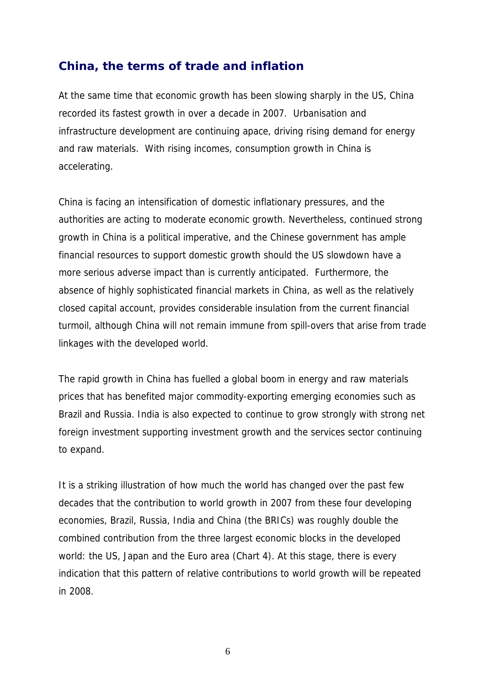## **China, the terms of trade and inflation**

At the same time that economic growth has been slowing sharply in the US, China recorded its fastest growth in over a decade in 2007. Urbanisation and infrastructure development are continuing apace, driving rising demand for energy and raw materials. With rising incomes, consumption growth in China is accelerating.

China is facing an intensification of domestic inflationary pressures, and the authorities are acting to moderate economic growth. Nevertheless, continued strong growth in China is a political imperative, and the Chinese government has ample financial resources to support domestic growth should the US slowdown have a more serious adverse impact than is currently anticipated. Furthermore, the absence of highly sophisticated financial markets in China, as well as the relatively closed capital account, provides considerable insulation from the current financial turmoil, although China will not remain immune from spill-overs that arise from trade linkages with the developed world.

The rapid growth in China has fuelled a global boom in energy and raw materials prices that has benefited major commodity-exporting emerging economies such as Brazil and Russia. India is also expected to continue to grow strongly with strong net foreign investment supporting investment growth and the services sector continuing to expand.

It is a striking illustration of how much the world has changed over the past few decades that the contribution to world growth in 2007 from these four developing economies, Brazil, Russia, India and China (the BRICs) was roughly double the combined contribution from the three largest economic blocks in the developed world: the US, Japan and the Euro area (Chart 4). At this stage, there is every indication that this pattern of relative contributions to world growth will be repeated in 2008.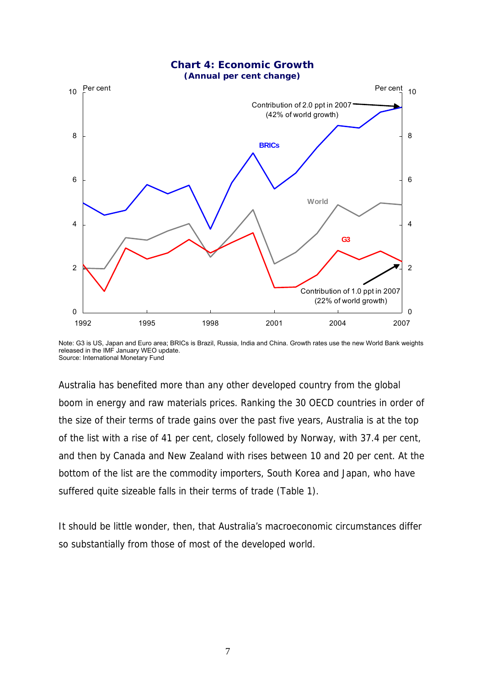

Note: G3 is US, Japan and Euro area; BRICs is Brazil, Russia, India and China. Growth rates use the new World Bank weights released in the IMF January WEO update. Source: International Monetary Fund

Australia has benefited more than any other developed country from the global boom in energy and raw materials prices. Ranking the 30 OECD countries in order of the size of their terms of trade gains over the past five years, Australia is at the top of the list with a rise of 41 per cent, closely followed by Norway, with 37.4 per cent, and then by Canada and New Zealand with rises between 10 and 20 per cent. At the bottom of the list are the commodity importers, South Korea and Japan, who have suffered quite sizeable falls in their terms of trade (Table 1).

It should be little wonder, then, that Australia's macroeconomic circumstances differ so substantially from those of most of the developed world.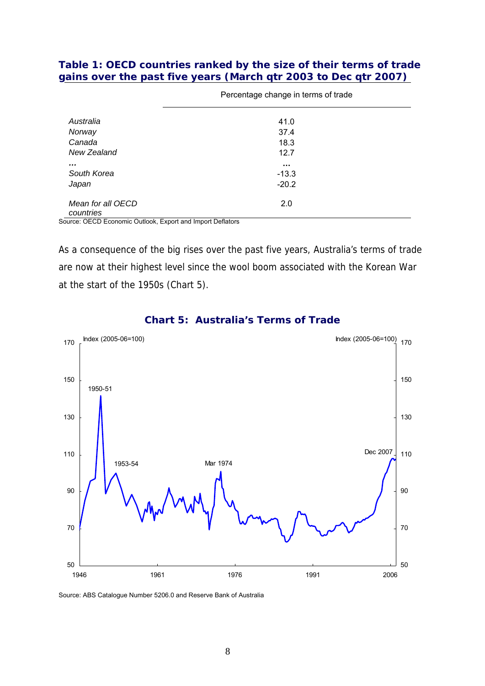#### **Table 1: OECD countries ranked by the size of their terms of trade gains over the past five years (March qtr 2003 to Dec qtr 2007)**

| Australia                      | 41.0        |  |
|--------------------------------|-------------|--|
| Norway                         | 37.4        |  |
| Canada                         | 18.3        |  |
| New Zealand                    | 12.7        |  |
| $\cdots$                       | $\sim 0.01$ |  |
| South Korea                    | $-13.3$     |  |
| Japan                          | $-20.2$     |  |
| Mean for all OECD<br>countries | 2.0         |  |

Percentage change in terms of trade

Source: OECD Economic Outlook, Export and Import Deflators

As a consequence of the big rises over the past five years, Australia's terms of trade are now at their highest level since the wool boom associated with the Korean War at the start of the 1950s (Chart 5).



#### **Chart 5: Australia's Terms of Trade**

Source: ABS Catalogue Number 5206.0 and Reserve Bank of Australia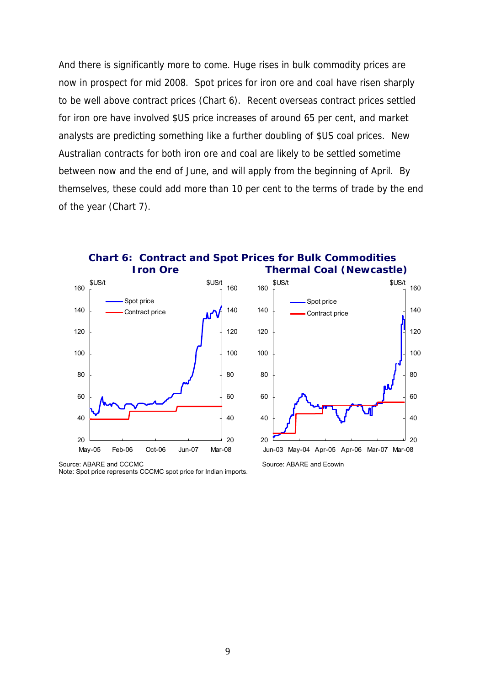And there is significantly more to come. Huge rises in bulk commodity prices are now in prospect for mid 2008. Spot prices for iron ore and coal have risen sharply to be well above contract prices (Chart 6). Recent overseas contract prices settled for iron ore have involved \$US price increases of around 65 per cent, and market analysts are predicting something like a further doubling of \$US coal prices. New Australian contracts for both iron ore and coal are likely to be settled sometime between now and the end of June, and will apply from the beginning of April. By themselves, these could add more than 10 per cent to the terms of trade by the end of the year (Chart 7).



Note: Spot price represents CCCMC spot price for Indian imports.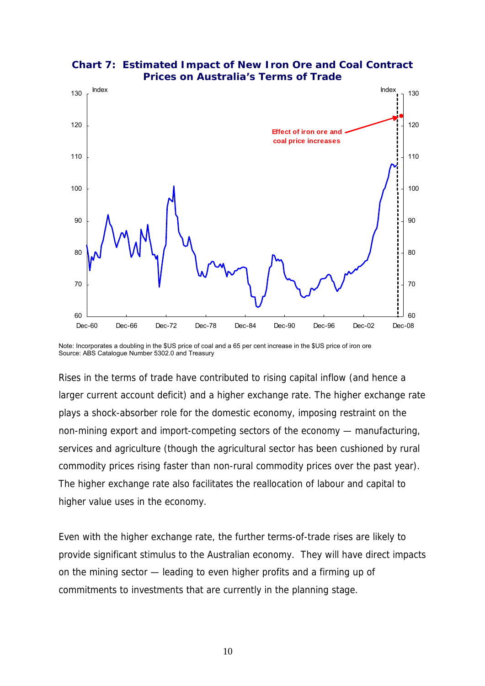

**Chart 7: Estimated Impact of New Iron Ore and Coal Contract Prices on Australia's Terms of Trade** 

Note: Incorporates a doubling in the \$US price of coal and a 65 per cent increase in the \$US price of iron ore Source: ABS Catalogue Number 5302.0 and Treasury

Rises in the terms of trade have contributed to rising capital inflow (and hence a larger current account deficit) and a higher exchange rate. The higher exchange rate plays a shock-absorber role for the domestic economy, imposing restraint on the non-mining export and import-competing sectors of the economy — manufacturing, services and agriculture (though the agricultural sector has been cushioned by rural commodity prices rising faster than non-rural commodity prices over the past year). The higher exchange rate also facilitates the reallocation of labour and capital to higher value uses in the economy.

Even with the higher exchange rate, the further terms-of-trade rises are likely to provide significant stimulus to the Australian economy. They will have direct impacts on the mining sector — leading to even higher profits and a firming up of commitments to investments that are currently in the planning stage.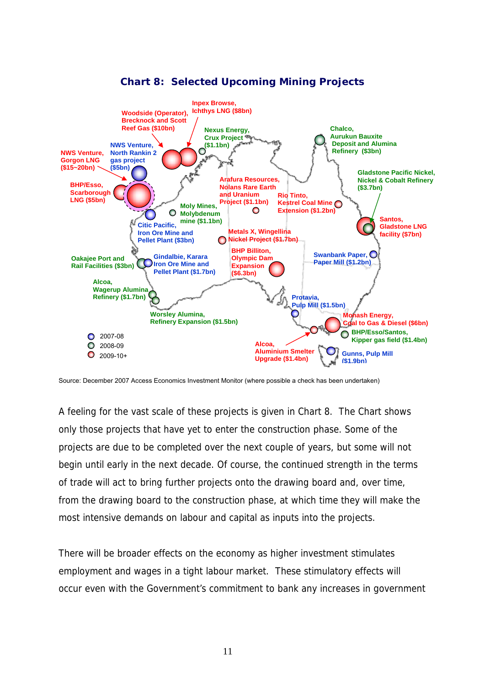

## **Chart 8: Selected Upcoming Mining Projects**

Source: December 2007 Access Economics Investment Monitor (where possible a check has been undertaken)

A feeling for the vast scale of these projects is given in Chart 8. The Chart shows only those projects that have yet to enter the construction phase. Some of the projects are due to be completed over the next couple of years, but some will not begin until early in the next decade. Of course, the continued strength in the terms of trade will act to bring further projects onto the drawing board and, over time, from the drawing board to the construction phase, at which time they will make the most intensive demands on labour and capital as inputs into the projects.

There will be broader effects on the economy as higher investment stimulates employment and wages in a tight labour market. These stimulatory effects will occur even with the Government's commitment to bank any increases in government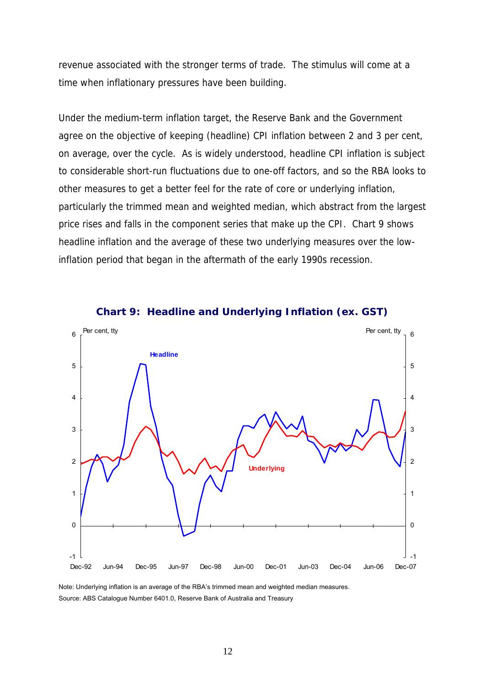revenue associated with the stronger terms of trade. The stimulus will come at a time when inflationary pressures have been building.

Under the medium-term inflation target, the Reserve Bank and the Government agree on the objective of keeping (headline) CPI inflation between 2 and 3 per cent, on average, over the cycle. As is widely understood, headline CPI inflation is subject to considerable short-run fluctuations due to one-off factors, and so the RBA looks to other measures to get a better feel for the rate of core or underlying inflation, particularly the trimmed mean and weighted median, which abstract from the largest price rises and falls in the component series that make up the CPI. Chart 9 shows headline inflation and the average of these two underlying measures over the lowinflation period that began in the aftermath of the early 1990s recession.



**Chart 9: Headline and Underlying Inflation (ex. GST)** 

Note: Underlying inflation is an average of the RBA's trimmed mean and weighted median measures. Source: ABS Catalogue Number 6401.0, Reserve Bank of Australia and Treasury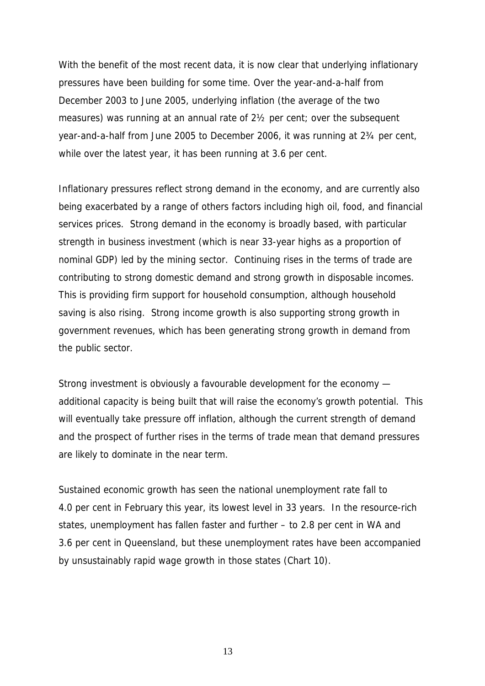With the benefit of the most recent data, it is now clear that underlying inflationary pressures have been building for some time. Over the year-and-a-half from December 2003 to June 2005, underlying inflation (the average of the two measures) was running at an annual rate of 2½ per cent; over the subsequent year-and-a-half from June 2005 to December 2006, it was running at 2¾ per cent, while over the latest year, it has been running at 3.6 per cent.

Inflationary pressures reflect strong demand in the economy, and are currently also being exacerbated by a range of others factors including high oil, food, and financial services prices. Strong demand in the economy is broadly based, with particular strength in business investment (which is near 33-year highs as a proportion of nominal GDP) led by the mining sector. Continuing rises in the terms of trade are contributing to strong domestic demand and strong growth in disposable incomes. This is providing firm support for household consumption, although household saving is also rising. Strong income growth is also supporting strong growth in government revenues, which has been generating strong growth in demand from the public sector.

Strong investment is obviously a favourable development for the economy additional capacity is being built that will raise the economy's growth potential. This will eventually take pressure off inflation, although the current strength of demand and the prospect of further rises in the terms of trade mean that demand pressures are likely to dominate in the near term.

Sustained economic growth has seen the national unemployment rate fall to 4.0 per cent in February this year, its lowest level in 33 years. In the resource-rich states, unemployment has fallen faster and further – to 2.8 per cent in WA and 3.6 per cent in Queensland, but these unemployment rates have been accompanied by unsustainably rapid wage growth in those states (Chart 10).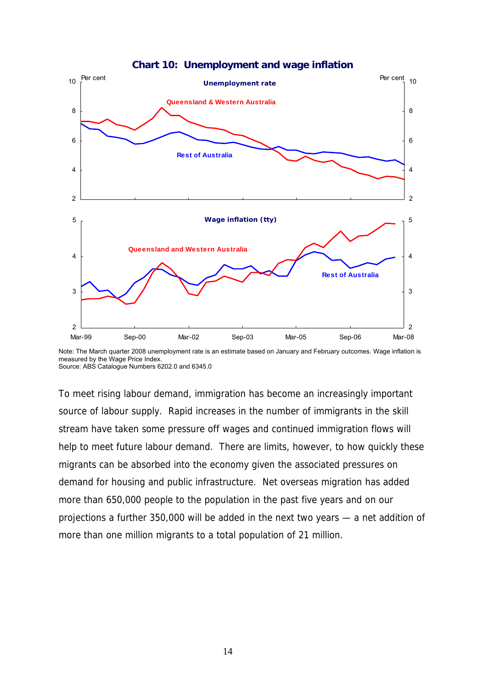



Note: The March quarter 2008 unemployment rate is an estimate based on January and February outcomes. Wage inflation is measured by the Wage Price Index. Source: ABS Catalogue Numbers 6202.0 and 6345.0

To meet rising labour demand, immigration has become an increasingly important source of labour supply. Rapid increases in the number of immigrants in the skill stream have taken some pressure off wages and continued immigration flows will help to meet future labour demand. There are limits, however, to how quickly these migrants can be absorbed into the economy given the associated pressures on demand for housing and public infrastructure. Net overseas migration has added more than 650,000 people to the population in the past five years and on our projections a further 350,000 will be added in the next two years — a net addition of more than one million migrants to a total population of 21 million.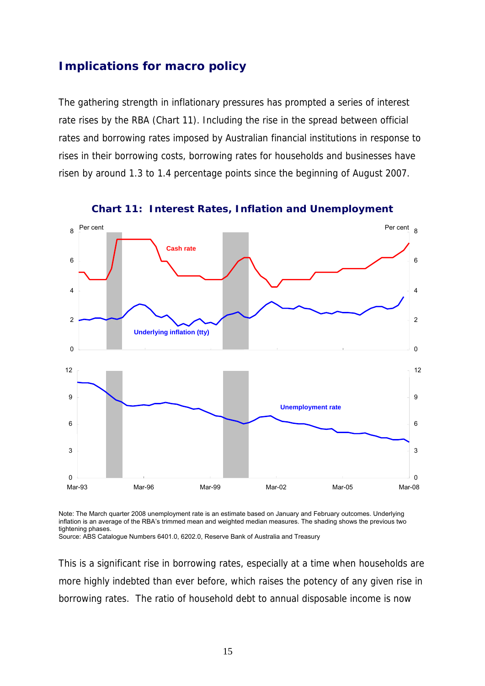## **Implications for macro policy**

The gathering strength in inflationary pressures has prompted a series of interest rate rises by the RBA (Chart 11). Including the rise in the spread between official rates and borrowing rates imposed by Australian financial institutions in response to rises in their borrowing costs, borrowing rates for households and businesses have risen by around 1.3 to 1.4 percentage points since the beginning of August 2007.



**Chart 11: Interest Rates, Inflation and Unemployment** 

Note: The March quarter 2008 unemployment rate is an estimate based on January and February outcomes. Underlying inflation is an average of the RBA's trimmed mean and weighted median measures. The shading shows the previous two tightening phases.

Source: ABS Catalogue Numbers 6401.0, 6202.0, Reserve Bank of Australia and Treasury

This is a significant rise in borrowing rates, especially at a time when households are more highly indebted than ever before, which raises the potency of any given rise in borrowing rates. The ratio of household debt to annual disposable income is now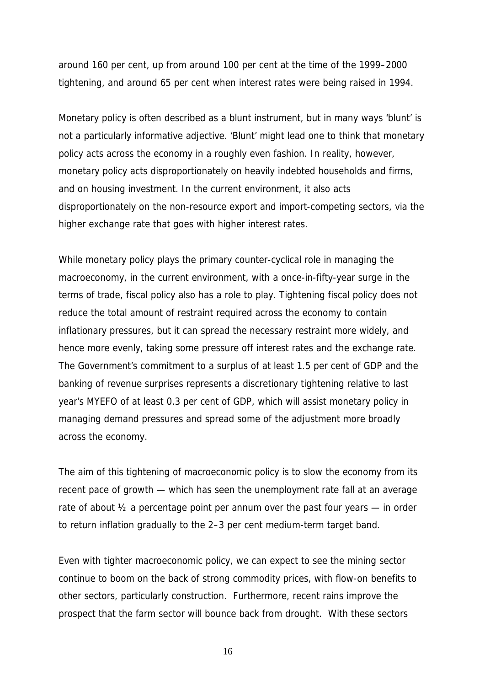around 160 per cent, up from around 100 per cent at the time of the 1999–2000 tightening, and around 65 per cent when interest rates were being raised in 1994.

Monetary policy is often described as a blunt instrument, but in many ways 'blunt' is not a particularly informative adjective. 'Blunt' might lead one to think that monetary policy acts across the economy in a roughly even fashion. In reality, however, monetary policy acts disproportionately on heavily indebted households and firms, and on housing investment. In the current environment, it also acts disproportionately on the non-resource export and import-competing sectors, via the higher exchange rate that goes with higher interest rates.

While monetary policy plays the primary counter-cyclical role in managing the macroeconomy, in the current environment, with a once-in-fifty-year surge in the terms of trade, fiscal policy also has a role to play. Tightening fiscal policy does not reduce the total amount of restraint required across the economy to contain inflationary pressures, but it can spread the necessary restraint more widely, and hence more evenly, taking some pressure off interest rates and the exchange rate. The Government's commitment to a surplus of at least 1.5 per cent of GDP and the banking of revenue surprises represents a discretionary tightening relative to last year's MYEFO of at least 0.3 per cent of GDP, which will assist monetary policy in managing demand pressures and spread some of the adjustment more broadly across the economy.

The aim of this tightening of macroeconomic policy is to slow the economy from its recent pace of growth — which has seen the unemployment rate fall at an average rate of about  $\frac{1}{2}$  a percentage point per annum over the past four years — in order to return inflation gradually to the 2–3 per cent medium-term target band.

Even with tighter macroeconomic policy, we can expect to see the mining sector continue to boom on the back of strong commodity prices, with flow-on benefits to other sectors, particularly construction. Furthermore, recent rains improve the prospect that the farm sector will bounce back from drought. With these sectors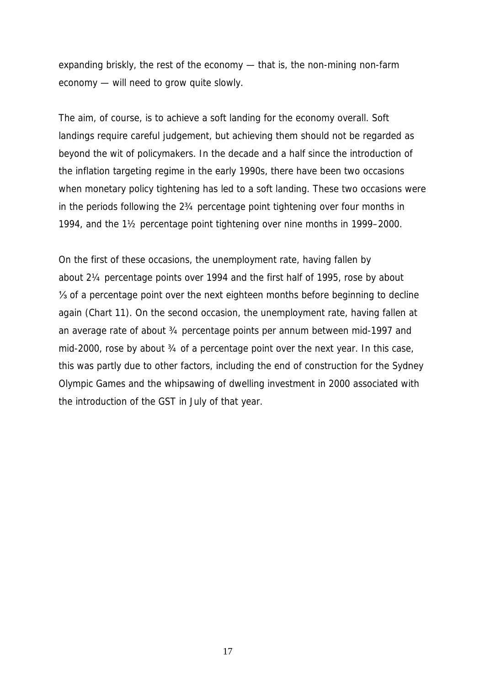expanding briskly, the rest of the economy — that is, the non-mining non-farm economy — will need to grow quite slowly.

The aim, of course, is to achieve a soft landing for the economy overall. Soft landings require careful judgement, but achieving them should not be regarded as beyond the wit of policymakers. In the decade and a half since the introduction of the inflation targeting regime in the early 1990s, there have been two occasions when monetary policy tightening has led to a soft landing. These two occasions were in the periods following the 2¾ percentage point tightening over four months in 1994, and the 1½ percentage point tightening over nine months in 1999–2000.

On the first of these occasions, the unemployment rate, having fallen by about 2¼ percentage points over 1994 and the first half of 1995, rose by about ⅓ of a percentage point over the next eighteen months before beginning to decline again (Chart 11). On the second occasion, the unemployment rate, having fallen at an average rate of about ¾ percentage points per annum between mid-1997 and mid-2000, rose by about 3/4 of a percentage point over the next year. In this case, this was partly due to other factors, including the end of construction for the Sydney Olympic Games and the whipsawing of dwelling investment in 2000 associated with the introduction of the GST in July of that year.